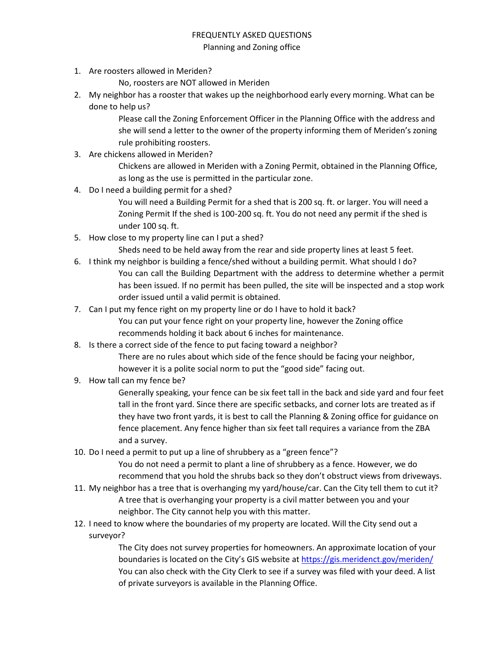## FREQUENTLY ASKED QUESTIONS Planning and Zoning office

- 1. Are roosters allowed in Meriden?
	- No, roosters are NOT allowed in Meriden
- 2. My neighbor has a rooster that wakes up the neighborhood early every morning. What can be done to help us?

Please call the Zoning Enforcement Officer in the Planning Office with the address and she will send a letter to the owner of the property informing them of Meriden's zoning rule prohibiting roosters.

3. Are chickens allowed in Meriden?

Chickens are allowed in Meriden with a Zoning Permit, obtained in the Planning Office, as long as the use is permitted in the particular zone.

4. Do I need a building permit for a shed?

You will need a Building Permit for a shed that is 200 sq. ft. or larger. You will need a Zoning Permit If the shed is 100-200 sq. ft. You do not need any permit if the shed is under 100 sq. ft.

5. How close to my property line can I put a shed?

Sheds need to be held away from the rear and side property lines at least 5 feet.

- 6. I think my neighbor is building a fence/shed without a building permit. What should I do? You can call the Building Department with the address to determine whether a permit has been issued. If no permit has been pulled, the site will be inspected and a stop work order issued until a valid permit is obtained.
- 7. Can I put my fence right on my property line or do I have to hold it back? You can put your fence right on your property line, however the Zoning office recommends holding it back about 6 inches for maintenance.
- 8. Is there a correct side of the fence to put facing toward a neighbor?

There are no rules about which side of the fence should be facing your neighbor, however it is a polite social norm to put the "good side" facing out.

9. How tall can my fence be?

Generally speaking, your fence can be six feet tall in the back and side yard and four feet tall in the front yard. Since there are specific setbacks, and corner lots are treated as if they have two front yards, it is best to call the Planning & Zoning office for guidance on fence placement. Any fence higher than six feet tall requires a variance from the ZBA and a survey.

10. Do I need a permit to put up a line of shrubbery as a "green fence"?

You do not need a permit to plant a line of shrubbery as a fence. However, we do recommend that you hold the shrubs back so they don't obstruct views from driveways.

- 11. My neighbor has a tree that is overhanging my yard/house/car. Can the City tell them to cut it? A tree that is overhanging your property is a civil matter between you and your neighbor. The City cannot help you with this matter.
- 12. I need to know where the boundaries of my property are located. Will the City send out a surveyor?

The City does not survey properties for homeowners. An approximate location of your boundaries is located on the City's GIS website at<https://gis.meridenct.gov/meriden/> You can also check with the City Clerk to see if a survey was filed with your deed. A list of private surveyors is available in the Planning Office.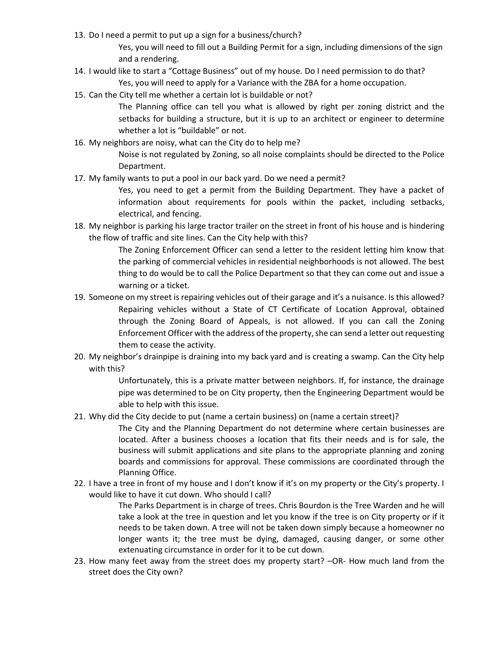13. Do I need a permit to put up a sign for a business/church?

Yes, you will need to fill out a Building Permit for a sign, including dimensions of the sign and a rendering.

- 14. I would like to start a "Cottage Business" out of my house. Do I need permission to do that? Yes, you will need to apply for a Variance with the ZBA for a home occupation.
- 15. Can the City tell me whether a certain lot is buildable or not?

The Planning office can tell you what is allowed by right per zoning district and the setbacks for building a structure, but it is up to an architect or engineer to determine whether a lot is "buildable" or not.

16. My neighbors are noisy, what can the City do to help me?

Noise is not regulated by Zoning, so all noise complaints should be directed to the Police Department.

17. My family wants to put a pool in our back yard. Do we need a permit?

Yes, you need to get a permit from the Building Department. They have a packet of information about requirements for pools within the packet, including setbacks, electrical, and fencing.

18. My neighbor is parking his large tractor trailer on the street in front of his house and is hindering the flow of traffic and site lines. Can the City help with this?

> The Zoning Enforcement Officer can send a letter to the resident letting him know that the parking of commercial vehicles in residential neighborhoods is not allowed. The best thing to do would be to call the Police Department so that they can come out and issue a warning or a ticket.

- 19. Someone on my street is repairing vehicles out of their garage and it's a nuisance. Is this allowed? Repairing vehicles without a State of CT Certificate of Location Approval, obtained through the Zoning Board of Appeals, is not allowed. If you can call the Zoning Enforcement Officer with the address of the property, she can send a letter out requesting them to cease the activity.
- 20. My neighbor's drainpipe is draining into my back yard and is creating a swamp. Can the City help with this?

Unfortunately, this is a private matter between neighbors. If, for instance, the drainage pipe was determined to be on City property, then the Engineering Department would be able to help with this issue.

21. Why did the City decide to put (name a certain business) on (name a certain street)?

The City and the Planning Department do not determine where certain businesses are located. After a business chooses a location that fits their needs and is for sale, the business will submit applications and site plans to the appropriate planning and zoning boards and commissions for approval. These commissions are coordinated through the Planning Office.

22. I have a tree in front of my house and I don't know if it's on my property or the City's property. I would like to have it cut down. Who should I call?

> The Parks Department is in charge of trees. Chris Bourdon is the Tree Warden and he will take a look at the tree in question and let you know if the tree is on City property or if it needs to be taken down. A tree will not be taken down simply because a homeowner no longer wants it; the tree must be dying, damaged, causing danger, or some other extenuating circumstance in order for it to be cut down.

23. How many feet away from the street does my property start? –OR- How much land from the street does the City own?